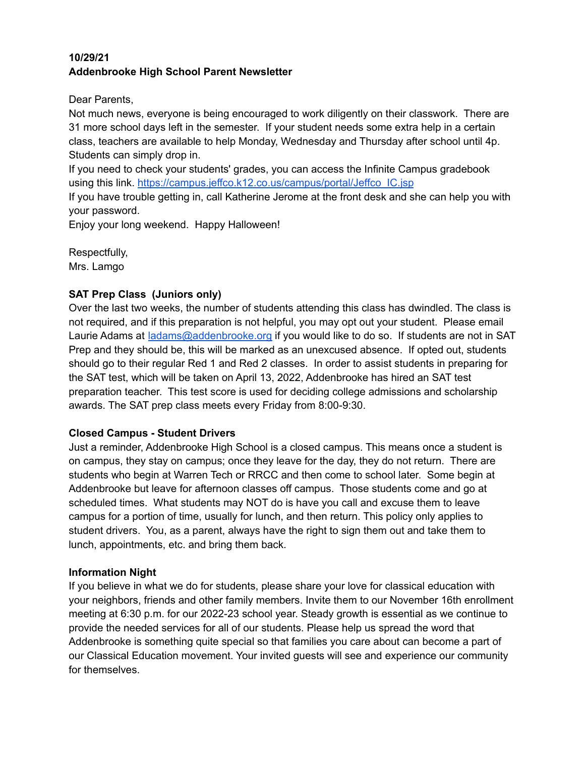#### **10/29/21 Addenbrooke High School Parent Newsletter**

Dear Parents,

Not much news, everyone is being encouraged to work diligently on their classwork. There are 31 more school days left in the semester. If your student needs some extra help in a certain class, teachers are available to help Monday, Wednesday and Thursday after school until 4p. Students can simply drop in.

If you need to check your students' grades, you can access the Infinite Campus gradebook using this link. [https://campus.jeffco.k12.co.us/campus/portal/Jeffco\\_IC.jsp](https://campus.jeffco.k12.co.us/campus/portal/Jeffco_IC.jsp)

If you have trouble getting in, call Katherine Jerome at the front desk and she can help you with your password.

Enjoy your long weekend. Happy Halloween!

Respectfully, Mrs. Lamgo

# **SAT Prep Class (Juniors only)**

Over the last two weeks, the number of students attending this class has dwindled. The class is not required, and if this preparation is not helpful, you may opt out your student. Please email Laurie Adams at [ladams@addenbrooke.org](mailto:ladams@addenbrooke.org) if you would like to do so. If students are not in SAT Prep and they should be, this will be marked as an unexcused absence. If opted out, students should go to their regular Red 1 and Red 2 classes. In order to assist students in preparing for the SAT test, which will be taken on April 13, 2022, Addenbrooke has hired an SAT test preparation teacher. This test score is used for deciding college admissions and scholarship awards. The SAT prep class meets every Friday from 8:00-9:30.

## **Closed Campus - Student Drivers**

Just a reminder, Addenbrooke High School is a closed campus. This means once a student is on campus, they stay on campus; once they leave for the day, they do not return. There are students who begin at Warren Tech or RRCC and then come to school later. Some begin at Addenbrooke but leave for afternoon classes off campus. Those students come and go at scheduled times. What students may NOT do is have you call and excuse them to leave campus for a portion of time, usually for lunch, and then return. This policy only applies to student drivers. You, as a parent, always have the right to sign them out and take them to lunch, appointments, etc. and bring them back.

## **Information Night**

If you believe in what we do for students, please share your love for classical education with your neighbors, friends and other family members. Invite them to our November 16th enrollment meeting at 6:30 p.m. for our 2022-23 school year. Steady growth is essential as we continue to provide the needed services for all of our students. Please help us spread the word that Addenbrooke is something quite special so that families you care about can become a part of our Classical Education movement. Your invited guests will see and experience our community for themselves.